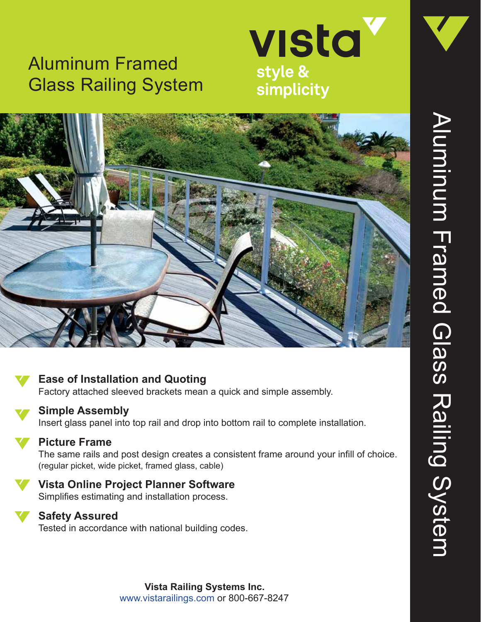# Aluminum Framed Glass Railing System





## **Ease of Installation and Quoting**

Factory attached sleeved brackets mean a quick and simple assembly.



## **Simple Assembly**

Insert glass panel into top rail and drop into bottom rail to complete installation.

#### **Picture Frame**

The same rails and post design creates a consistent frame around your infill of choice. (regular picket, wide picket, framed glass, cable)

### **Vista Online Project Planner Software**

Simplifies estimating and installation process.



#### **Safety Assured**

Tested in accordance with national building codes.